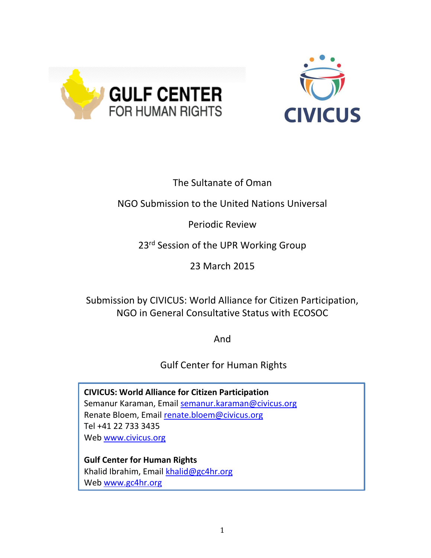



# The Sultanate of Oman

## NGO Submission to the United Nations Universal

## Periodic Review

## 23<sup>rd</sup> Session of the UPR Working Group

## 23 March 2015

## Submission by CIVICUS: World Alliance for Citizen Participation, NGO in General Consultative Status with ECOSOC

And

# Gulf Center for Human Rights

**CIVICUS: World Alliance for Citizen Participation** Semanur Karaman, Email semanur.karaman@civicus.org Renate Bloem, Email renate.bloem@civicus.org Tel +41 22 733 3435 Web www.civicus.org

**Gulf Center for Human Rights**  Khalid Ibrahim, Email khalid@gc4hr.org Web www.gc4hr.org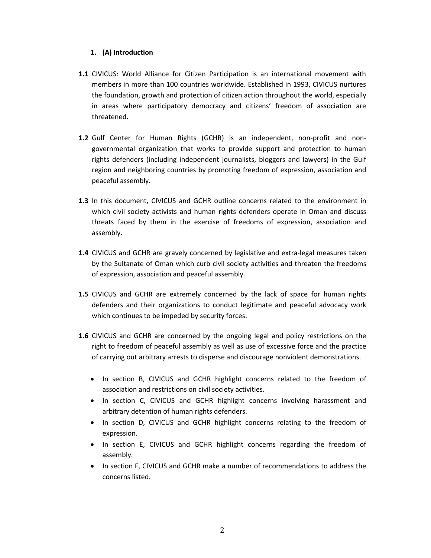### **1. (A) Introduction**

- **1.1** CIVICUS: World Alliance for Citizen Participation is an international movement with members in more than 100 countries worldwide. Established in 1993, CIVICUS nurtures the foundation, growth and protection of citizen action throughout the world, especially in areas where participatory democracy and citizens' freedom of association are threatened.
- **1.2** Gulf Center for Human Rights (GCHR) is an independent, non-profit and nongovernmental organization that works to provide support and protection to human rights defenders (including independent journalists, bloggers and lawyers) in the Gulf region and neighboring countries by promoting freedom of expression, association and peaceful assembly.
- **1.3** In this document, CIVICUS and GCHR outline concerns related to the environment in which civil society activists and human rights defenders operate in Oman and discuss threats faced by them in the exercise of freedoms of expression, association and assembly.
- **1.4** CIVICUS and GCHR are gravely concerned by legislative and extra-legal measures taken by the Sultanate of Oman which curb civil society activities and threaten the freedoms of expression, association and peaceful assembly.
- **1.5** CIVICUS and GCHR are extremely concerned by the lack of space for human rights defenders and their organizations to conduct legitimate and peaceful advocacy work which continues to be impeded by security forces.
- **1.6** CIVICUS and GCHR are concerned by the ongoing legal and policy restrictions on the right to freedom of peaceful assembly as well as use of excessive force and the practice of carrying out arbitrary arrests to disperse and discourage nonviolent demonstrations.
	- In section B, CIVICUS and GCHR highlight concerns related to the freedom of association and restrictions on civil society activities.
	- In section C, CIVICUS and GCHR highlight concerns involving harassment and arbitrary detention of human rights defenders.
	- In section D, CIVICUS and GCHR highlight concerns relating to the freedom of expression.
	- In section E, CIVICUS and GCHR highlight concerns regarding the freedom of assembly.
	- In section F, CIVICUS and GCHR make a number of recommendations to address the concerns listed.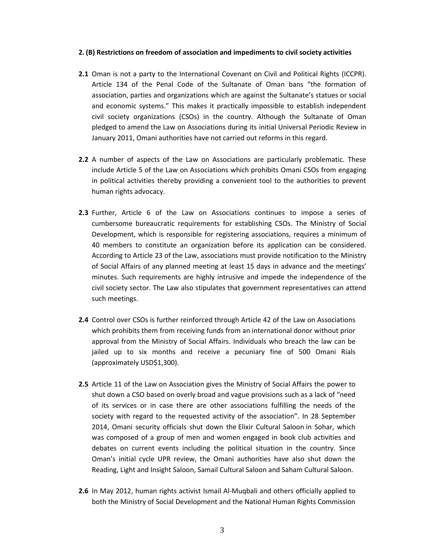#### **2. (B) Restrictions on freedom of association and impediments to civil society activities**

- **2.1** Oman is not a party to the International Covenant on Civil and Political Rights (ICCPR). Article 134 of the Penal Code of the Sultanate of Oman bans "the formation of association, parties and organizations which are against the Sultanate's statues or social and economic systems." This makes it practically impossible to establish independent civil society organizations (CSOs) in the country. Although the Sultanate of Oman pledged to amend the Law on Associations during its initial Universal Periodic Review in January 2011, Omani authorities have not carried out reforms in this regard.
- **2.2** A number of aspects of the Law on Associations are particularly problematic. These include Article 5 of the Law on Associations which prohibits Omani CSOs from engaging in political activities thereby providing a convenient tool to the authorities to prevent human rights advocacy.
- **2.3** Further, Article 6 of the Law on Associations continues to impose a series of cumbersome bureaucratic requirements for establishing CSOs. The Ministry of Social Development, which is responsible for registering associations, requires a minimum of 40 members to constitute an organization before its application can be considered. According to Article 23 of the Law, associations must provide notification to the Ministry of Social Affairs of any planned meeting at least 15 days in advance and the meetings' minutes. Such requirements are highly intrusive and impede the independence of the civil society sector. The Law also stipulates that government representatives can attend such meetings.
- **2.4** Control over CSOs is further reinforced through Article 42 of the Law on Associations which prohibits them from receiving funds from an international donor without prior approval from the Ministry of Social Affairs. Individuals who breach the law can be jailed up to six months and receive a pecuniary fine of 500 Omani Rials (approximately USD\$1,300).
- **2.5** Article 11 of the Law on Association gives the Ministry of Social Affairs the power to shut down a CSO based on overly broad and vague provisions such as a lack of "need of its services or in case there are other associations fulfilling the needs of the society with regard to the requested activity of the association". In 28 September 2014, Omani security officials shut down the Elixir Cultural Saloon in Sohar, which was composed of a group of men and women engaged in book club activities and debates on current events including the political situation in the country. Since Oman's initial cycle UPR review, the Omani authorities have also shut down the Reading, Light and Insight Saloon, Samail Cultural Saloon and Saham Cultural Saloon.
- **2.6** In May 2012, human rights activist Ismail Al-Muqbali and others officially applied to both the Ministry of Social Development and the National Human Rights Commission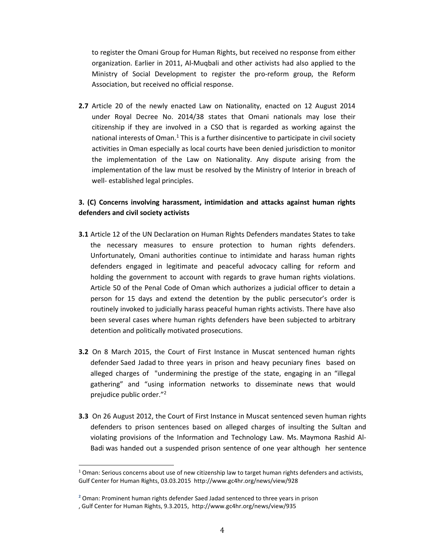to register the Omani Group for Human Rights, but received no response from either organization. Earlier in 2011, Al-Muqbali and other activists had also applied to the Ministry of Social Development to register the pro-reform group, the Reform Association, but received no official response.

**2.7** Article 20 of the newly enacted Law on Nationality, enacted on 12 August 2014 under Royal Decree No. 2014/38 states that Omani nationals may lose their citizenship if they are involved in a CSO that is regarded as working against the national interests of Oman. $1$  This is a further disincentive to participate in civil society activities in Oman especially as local courts have been denied jurisdiction to monitor the implementation of the Law on Nationality. Any dispute arising from the implementation of the law must be resolved by the Ministry of Interior in breach of well- established legal principles.

## **3. (C) Concerns involving harassment, intimidation and attacks against human rights defenders and civil society activists**

- **3.1** Article 12 of the UN Declaration on Human Rights Defenders mandates States to take the necessary measures to ensure protection to human rights defenders. Unfortunately, Omani authorities continue to intimidate and harass human rights defenders engaged in legitimate and peaceful advocacy calling for reform and holding the government to account with regards to grave human rights violations. Article 50 of the Penal Code of Oman which authorizes a judicial officer to detain a person for 15 days and extend the detention by the public persecutor's order is routinely invoked to judicially harass peaceful human rights activists. There have also been several cases where human rights defenders have been subjected to arbitrary detention and politically motivated prosecutions.
- **3.2** On 8 March 2015, the Court of First Instance in Muscat sentenced human rights defender Saed Jadad to three years in prison and heavy pecuniary fines based on alleged charges of "undermining the prestige of the state, engaging in an "illegal gathering" and "using information networks to disseminate news that would prejudice public order."<sup>2</sup>
- **3.3** On 26 August 2012, the Court of First Instance in Muscat sentenced seven human rights defenders to prison sentences based on alleged charges of insulting the Sultan and violating provisions of the Information and Technology Law. Ms. Maymona Rashid Al-Badi was handed out a suspended prison sentence of one year although her sentence

l

 $1$  Oman: Serious concerns about use of new citizenship law to target human rights defenders and activists, Gulf Center for Human Rights, 03.03.2015 http://www.gc4hr.org/news/view/928

**<sup>2</sup>** Oman: Prominent human rights defender Saed Jadad sentenced to three years in prison

<sup>,</sup> Gulf Center for Human Rights, 9.3.2015, http://www.gc4hr.org/news/view/935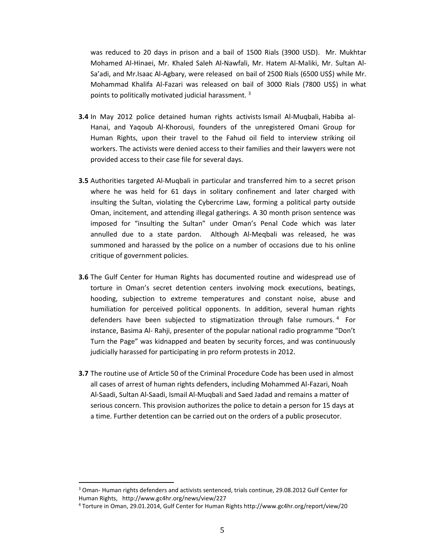was reduced to 20 days in prison and a bail of 1500 Rials (3900 USD). Mr. Mukhtar Mohamed Al-Hinaei, Mr. Khaled Saleh Al-Nawfali, Mr. Hatem Al-Maliki, Mr. Sultan Al-Sa'adi, and Mr.Isaac Al-Agbary, were released on bail of 2500 Rials (6500 US\$) while Mr. Mohammad Khalifa Al-Fazari was released on bail of 3000 Rials (7800 US\$) in what points to politically motivated judicial harassment. 3

- **3.4** In May 2012 police detained human rights activists Ismail Al-Muqbali, Habiba al-Hanai, and Yaqoub Al-Khorousi, founders of the unregistered Omani Group for Human Rights, upon their travel to the Fahud oil field to interview striking oil workers. The activists were denied access to their families and their lawyers were not provided access to their case file for several days.
- **3.5** Authorities targeted Al-Muqbali in particular and transferred him to a secret prison where he was held for 61 days in solitary confinement and later charged with insulting the Sultan, violating the Cybercrime Law, forming a political party outside Oman, incitement, and attending illegal gatherings. A 30 month prison sentence was imposed for "insulting the Sultan" under Oman's Penal Code which was later annulled due to a state pardon. Although Al-Meqbali was released, he was summoned and harassed by the police on a number of occasions due to his online critique of government policies.
- **3.6** The Gulf Center for Human Rights has documented routine and widespread use of torture in Oman's secret detention centers involving mock executions, beatings, hooding, subjection to extreme temperatures and constant noise, abuse and humiliation for perceived political opponents. In addition, several human rights defenders have been subjected to stigmatization through false rumours. <sup>4</sup> For instance, Basima Al- Rahji, presenter of the popular national radio programme "Don't Turn the Page" was kidnapped and beaten by security forces, and was continuously judicially harassed for participating in pro reform protests in 2012.
- **3.7** The routine use of Article 50 of the Criminal Procedure Code has been used in almost all cases of arrest of human rights defenders, including Mohammed Al-Fazari, Noah Al-Saadi, Sultan Al-Saadi, Ismail Al-Muqbali and Saed Jadad and remains a matter of serious concern. This provision authorizes the police to detain a person for 15 days at a time. Further detention can be carried out on the orders of a public prosecutor.

l

<sup>3</sup> Oman- Human rights defenders and activists sentenced, trials continue, 29.08.2012 Gulf Center for Human Rights, http://www.gc4hr.org/news/view/227

<sup>4</sup> Torture in Oman, 29.01.2014, Gulf Center for Human Rights http://www.gc4hr.org/report/view/20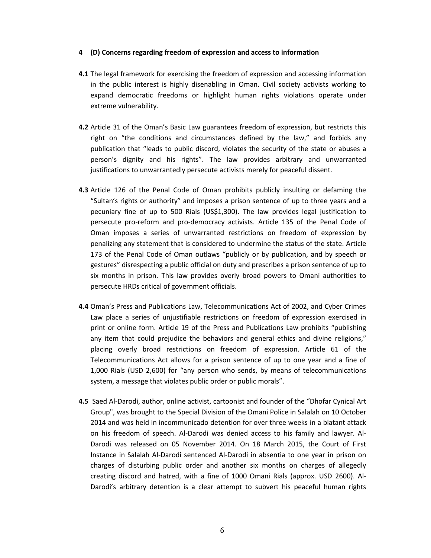#### **4 (D) Concerns regarding freedom of expression and access to information**

- **4.1** The legal framework for exercising the freedom of expression and accessing information in the public interest is highly disenabling in Oman. Civil society activists working to expand democratic freedoms or highlight human rights violations operate under extreme vulnerability.
- **4.2** Article 31 of the Oman's Basic Law guarantees freedom of expression, but restricts this right on "the conditions and circumstances defined by the law," and forbids any publication that "leads to public discord, violates the security of the state or abuses a person's dignity and his rights". The law provides arbitrary and unwarranted justifications to unwarrantedly persecute activists merely for peaceful dissent.
- **4.3** Article 126 of the Penal Code of Oman prohibits publicly insulting or defaming the "Sultan's rights or authority" and imposes a prison sentence of up to three years and a pecuniary fine of up to 500 Rials (US\$1,300). The law provides legal justification to persecute pro-reform and pro-democracy activists. Article 135 of the Penal Code of Oman imposes a series of unwarranted restrictions on freedom of expression by penalizing any statement that is considered to undermine the status of the state. Article 173 of the Penal Code of Oman outlaws "publicly or by publication, and by speech or gestures" disrespecting a public official on duty and prescribes a prison sentence of up to six months in prison. This law provides overly broad powers to Omani authorities to persecute HRDs critical of government officials.
- **4.4** Oman's Press and Publications Law, Telecommunications Act of 2002, and Cyber Crimes Law place a series of unjustifiable restrictions on freedom of expression exercised in print or online form. Article 19 of the Press and Publications Law prohibits "publishing any item that could prejudice the behaviors and general ethics and divine religions," placing overly broad restrictions on freedom of expression. Article 61 of the Telecommunications Act allows for a prison sentence of up to one year and a fine of 1,000 Rials (USD 2,600) for "any person who sends, by means of telecommunications system, a message that violates public order or public morals".
- **4.5** Saed Al-Darodi, author, online activist, cartoonist and founder of the "Dhofar Cynical Art Group", was brought to the Special Division of the Omani Police in Salalah on 10 October 2014 and was held in incommunicado detention for over three weeks in a blatant attack on his freedom of speech. Al-Darodi was denied access to his family and lawyer. Al-Darodi was released on 05 November 2014. On 18 March 2015, the Court of First Instance in Salalah Al-Darodi sentenced Al-Darodi in absentia to one year in prison on charges of disturbing public order and another six months on charges of allegedly creating discord and hatred, with a fine of 1000 Omani Rials (approx. USD 2600). Al-Darodi's arbitrary detention is a clear attempt to subvert his peaceful human rights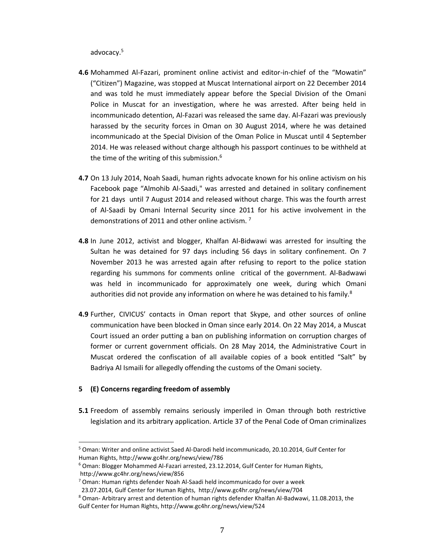advocacy.5

- **4.6** Mohammed Al-Fazari, prominent online activist and editor-in-chief of the "Mowatin" ("Citizen") Magazine, was stopped at Muscat International airport on 22 December 2014 and was told he must immediately appear before the Special Division of the Omani Police in Muscat for an investigation, where he was arrested. After being held in incommunicado detention, Al-Fazari was released the same day. Al-Fazari was previously harassed by the security forces in Oman on 30 August 2014, where he was detained incommunicado at the Special Division of the Oman Police in Muscat until 4 September 2014. He was released without charge although his passport continues to be withheld at the time of the writing of this submission. 6
- **4.7** On 13 July 2014, Noah Saadi, human rights advocate known for his online activism on his Facebook page "Almohib Al-Saadi," was arrested and detained in solitary confinement for 21 days until 7 August 2014 and released without charge. This was the fourth arrest of Al-Saadi by Omani Internal Security since 2011 for his active involvement in the demonstrations of 2011 and other online activism. <sup>7</sup>
- **4.8** In June 2012, activist and blogger, Khalfan Al-Bidwawi was arrested for insulting the Sultan he was detained for 97 days including 56 days in solitary confinement. On 7 November 2013 he was arrested again after refusing to report to the police station regarding his summons for comments online critical of the government. Al-Badwawi was held in incommunicado for approximately one week, during which Omani authorities did not provide any information on where he was detained to his family.<sup>8</sup>
- **4.9** Further, CIVICUS' contacts in Oman report that Skype, and other sources of online communication have been blocked in Oman since early 2014. On 22 May 2014, a Muscat Court issued an order putting a ban on publishing information on corruption charges of former or current government officials. On 28 May 2014, the Administrative Court in Muscat ordered the confiscation of all available copies of a book entitled "Salt" by Badriya Al Ismaili for allegedly offending the customs of the Omani society.

### **5 (E) Concerns regarding freedom of assembly**

l

**5.1** Freedom of assembly remains seriously imperiled in Oman through both restrictive legislation and its arbitrary application. Article 37 of the Penal Code of Oman criminalizes

<sup>5</sup> Oman: Writer and online activist Saed Al-Darodi held incommunicado, 20.10.2014, Gulf Center for Human Rights, http://www.gc4hr.org/news/view/786

 $6$  Oman: Blogger Mohammed Al-Fazari arrested, 23.12.2014, Gulf Center for Human Rights, http://www.gc4hr.org/news/view/856

 $7$  Oman: Human rights defender Noah Al-Saadi held incommunicado for over a week

 <sup>23.07.2014,</sup> Gulf Center for Human Rights, http://www.gc4hr.org/news/view/704

<sup>8</sup> Oman- Arbitrary arrest and detention of human rights defender Khalfan Al-Badwawi, 11.08.2013, the Gulf Center for Human Rights, http://www.gc4hr.org/news/view/524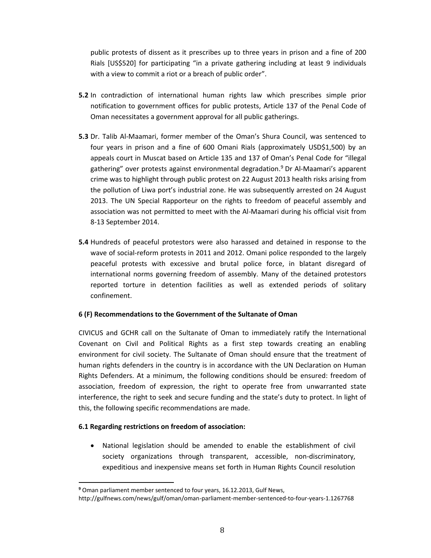public protests of dissent as it prescribes up to three years in prison and a fine of 200 Rials [US\$520] for participating "in a private gathering including at least 9 individuals with a view to commit a riot or a breach of public order".

- **5.2** In contradiction of international human rights law which prescribes simple prior notification to government offices for public protests, Article 137 of the Penal Code of Oman necessitates a government approval for all public gatherings.
- **5.3** Dr. Talib Al-Maamari, former member of the Oman's Shura Council, was sentenced to four years in prison and a fine of 600 Omani Rials (approximately USD\$1,500) by an appeals court in Muscat based on Article 135 and 137 of Oman's Penal Code for "illegal gathering" over protests against environmental degradation. <sup>9</sup> Dr Al-Maamari's apparent crime was to highlight through public protest on 22 August 2013 health risks arising from the pollution of Liwa port's industrial zone. He was subsequently arrested on 24 August 2013. The UN Special Rapporteur on the rights to freedom of peaceful assembly and association was not permitted to meet with the Al-Maamari during his official visit from 8-13 September 2014.
- **5.4** Hundreds of peaceful protestors were also harassed and detained in response to the wave of social-reform protests in 2011 and 2012. Omani police responded to the largely peaceful protests with excessive and brutal police force, in blatant disregard of international norms governing freedom of assembly. Many of the detained protestors reported torture in detention facilities as well as extended periods of solitary confinement.

### **6 (F) Recommendations to the Government of the Sultanate of Oman**

CIVICUS and GCHR call on the Sultanate of Oman to immediately ratify the International Covenant on Civil and Political Rights as a first step towards creating an enabling environment for civil society. The Sultanate of Oman should ensure that the treatment of human rights defenders in the country is in accordance with the UN Declaration on Human Rights Defenders. At a minimum, the following conditions should be ensured: freedom of association, freedom of expression, the right to operate free from unwarranted state interference, the right to seek and secure funding and the state's duty to protect. In light of this, the following specific recommendations are made.

### **6.1 Regarding restrictions on freedom of association:**

l

• National legislation should be amended to enable the establishment of civil society organizations through transparent, accessible, non-discriminatory, expeditious and inexpensive means set forth in Human Rights Council resolution

**<sup>9</sup>** Oman parliament member sentenced to four years, 16.12.2013, Gulf News,

http://gulfnews.com/news/gulf/oman/oman-parliament-member-sentenced-to-four-years-1.1267768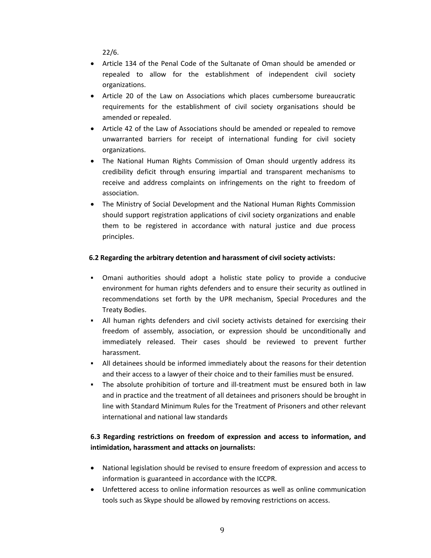22/6.

- Article 134 of the Penal Code of the Sultanate of Oman should be amended or repealed to allow for the establishment of independent civil society organizations.
- Article 20 of the Law on Associations which places cumbersome bureaucratic requirements for the establishment of civil society organisations should be amended or repealed.
- Article 42 of the Law of Associations should be amended or repealed to remove unwarranted barriers for receipt of international funding for civil society organizations.
- The National Human Rights Commission of Oman should urgently address its credibility deficit through ensuring impartial and transparent mechanisms to receive and address complaints on infringements on the right to freedom of association.
- The Ministry of Social Development and the National Human Rights Commission should support registration applications of civil society organizations and enable them to be registered in accordance with natural justice and due process principles.

### **6.2 Regarding the arbitrary detention and harassment of civil society activists:**

- Omani authorities should adopt a holistic state policy to provide a conducive environment for human rights defenders and to ensure their security as outlined in recommendations set forth by the UPR mechanism, Special Procedures and the Treaty Bodies.
- All human rights defenders and civil society activists detained for exercising their freedom of assembly, association, or expression should be unconditionally and immediately released. Their cases should be reviewed to prevent further harassment.
- All detainees should be informed immediately about the reasons for their detention and their access to a lawyer of their choice and to their families must be ensured.
- The absolute prohibition of torture and ill-treatment must be ensured both in law and in practice and the treatment of all detainees and prisoners should be brought in line with Standard Minimum Rules for the Treatment of Prisoners and other relevant international and national law standards

## **6.3 Regarding restrictions on freedom of expression and access to information, and intimidation, harassment and attacks on journalists:**

- National legislation should be revised to ensure freedom of expression and access to information is guaranteed in accordance with the ICCPR.
- x Unfettered access to online information resources as well as online communication tools such as Skype should be allowed by removing restrictions on access.